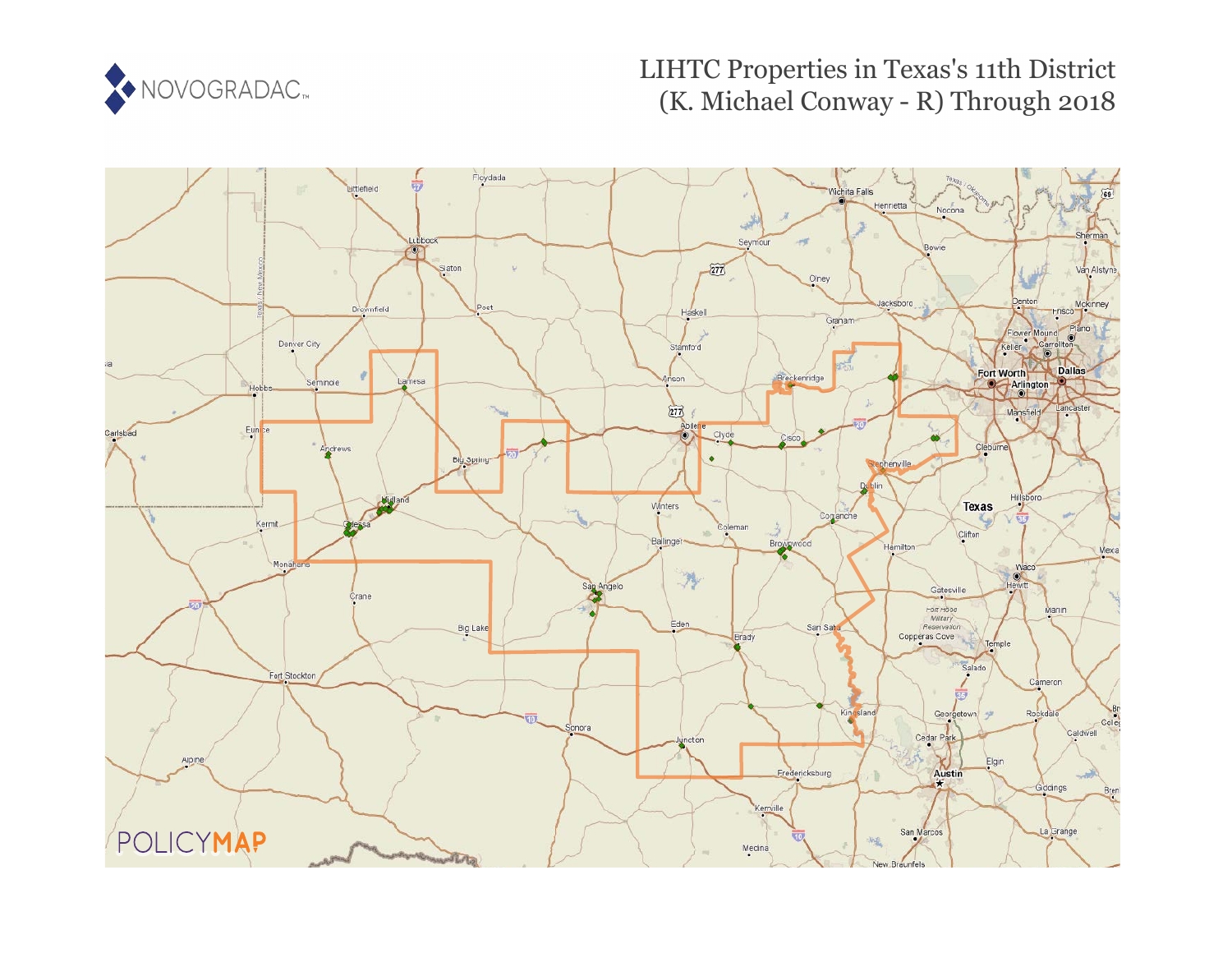

# LIHTC Properties in Texas's 11th District (K. Michael Conway - R) Through 2018

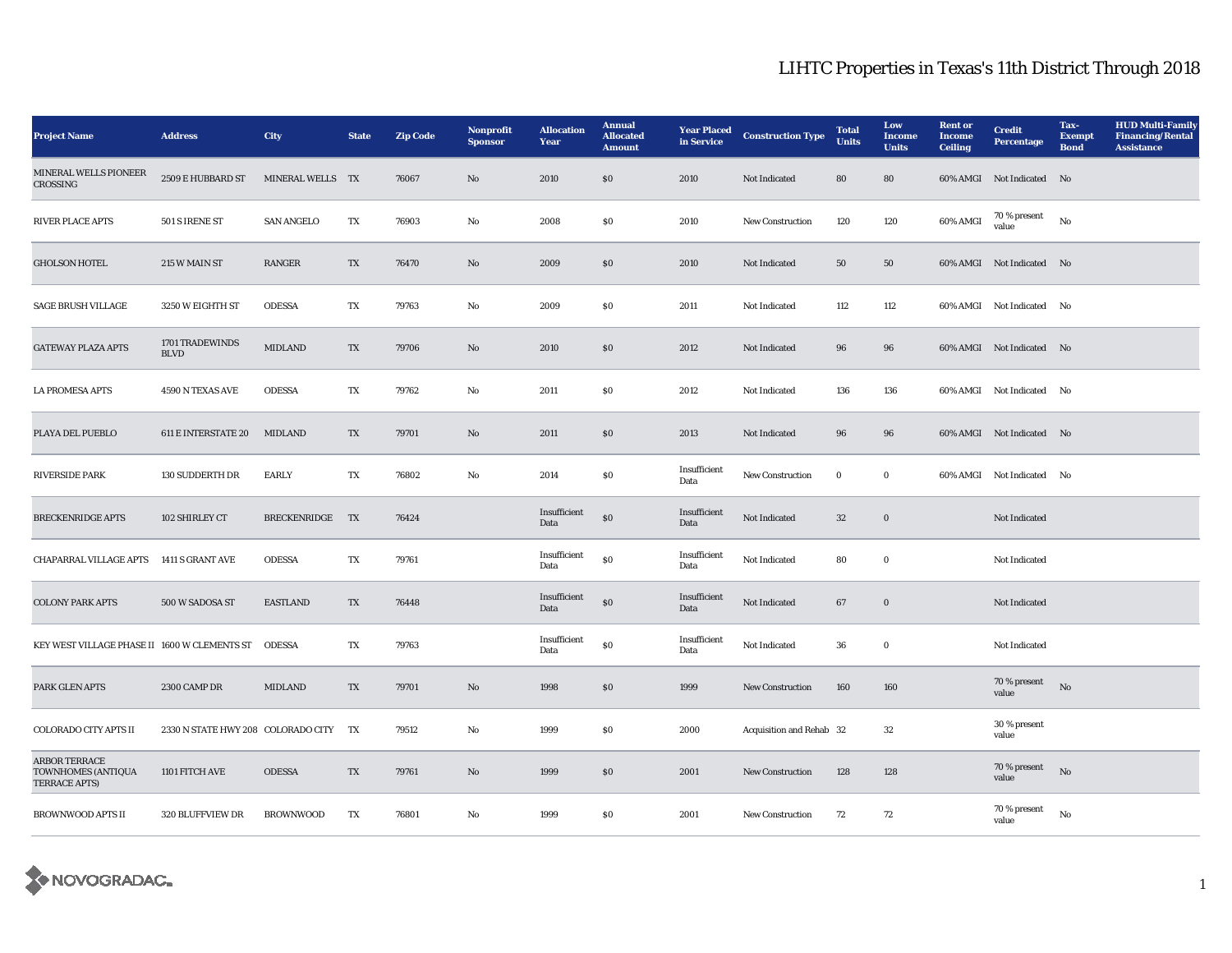| <b>Project Name</b>                                                | <b>Address</b>                        | City              | <b>State</b>            | <b>Zip Code</b> | Nonprofit<br><b>Sponsor</b> | <b>Allocation</b><br>Year | <b>Annual</b><br><b>Allocated</b><br><b>Amount</b> | <b>Year Placed</b><br>in Service | <b>Construction Type</b> | <b>Total</b><br><b>Units</b> | Low<br><b>Income</b><br><b>Units</b> | <b>Rent or</b><br>Income<br><b>Ceiling</b> | <b>Credit</b><br><b>Percentage</b> | Tax-<br><b>Exempt</b><br><b>Bond</b> | <b>HUD Multi-Family</b><br><b>Financing/Rental</b><br><b>Assistance</b> |
|--------------------------------------------------------------------|---------------------------------------|-------------------|-------------------------|-----------------|-----------------------------|---------------------------|----------------------------------------------------|----------------------------------|--------------------------|------------------------------|--------------------------------------|--------------------------------------------|------------------------------------|--------------------------------------|-------------------------------------------------------------------------|
| MINERAL WELLS PIONEER<br><b>CROSSING</b>                           | 2509 E HUBBARD ST                     | MINERAL WELLS TX  |                         | 76067           | $\mathbf{No}$               | 2010                      | \$0\$                                              | 2010                             | Not Indicated            | 80                           | 80                                   |                                            | 60% AMGI Not Indicated No          |                                      |                                                                         |
| <b>RIVER PLACE APTS</b>                                            | 501 S IRENE ST                        | <b>SAN ANGELO</b> | TX                      | 76903           | No                          | 2008                      | \$0                                                | 2010                             | New Construction         | 120                          | 120                                  | 60% AMGI                                   | 70 % present<br>value              | No                                   |                                                                         |
| <b>GHOLSON HOTEL</b>                                               | 215 W MAIN ST                         | RANGER            | $\mathbf{T} \mathbf{X}$ | 76470           | No                          | 2009                      | $\$0$                                              | 2010                             | Not Indicated            | 50                           | ${\bf 50}$                           |                                            | 60% AMGI Not Indicated No          |                                      |                                                                         |
| <b>SAGE BRUSH VILLAGE</b>                                          | 3250 W EIGHTH ST                      | <b>ODESSA</b>     | TX                      | 79763           | $\mathbf {No}$              | 2009                      | \$0                                                | 2011                             | Not Indicated            | 112                          | 112                                  |                                            | 60% AMGI Not Indicated No          |                                      |                                                                         |
| <b>GATEWAY PLAZA APTS</b>                                          | 1701 TRADEWINDS<br><b>BLVD</b>        | <b>MIDLAND</b>    | $\mathbf{T}\mathbf{X}$  | 79706           | $\rm No$                    | 2010                      | \$0                                                | 2012                             | Not Indicated            | 96                           | 96                                   |                                            | 60% AMGI Not Indicated No          |                                      |                                                                         |
| <b>LA PROMESA APTS</b>                                             | 4590 N TEXAS AVE                      | <b>ODESSA</b>     | TX                      | 79762           | No                          | 2011                      | S <sub>0</sub>                                     | 2012                             | Not Indicated            | 136                          | 136                                  |                                            | 60% AMGI Not Indicated             | N <sub>o</sub>                       |                                                                         |
| PLAYA DEL PUEBLO                                                   | <b>611 E INTERSTATE 20</b>            | <b>MIDLAND</b>    | TX                      | 79701           | $\mathbf{N}\mathbf{o}$      | 2011                      | \$0                                                | 2013                             | <b>Not Indicated</b>     | 96                           | 96                                   |                                            | 60% AMGI Not Indicated No          |                                      |                                                                         |
| <b>RIVERSIDE PARK</b>                                              | <b>130 SUDDERTH DR</b>                | <b>EARLY</b>      | TX                      | 76802           | No                          | 2014                      | \$0                                                | Insufficient<br>Data             | New Construction         | $\bf{0}$                     | $\bf{0}$                             |                                            | 60% AMGI Not Indicated No          |                                      |                                                                         |
| <b>BRECKENRIDGE APTS</b>                                           | 102 SHIRLEY CT                        | BRECKENRIDGE TX   |                         | 76424           |                             | Insufficient<br>Data      | \$0                                                | Insufficient<br>Data             | Not Indicated            | 32                           | $\bf{0}$                             |                                            | Not Indicated                      |                                      |                                                                         |
| CHAPARRAL VILLAGE APTS                                             | 1411 S GRANT AVE                      | <b>ODESSA</b>     | TX                      | 79761           |                             | Insufficient<br>Data      | $\boldsymbol{\mathsf{S}}\boldsymbol{\mathsf{O}}$   | Insufficient<br>Data             | Not Indicated            | 80                           | $\bf{0}$                             |                                            | Not Indicated                      |                                      |                                                                         |
| <b>COLONY PARK APTS</b>                                            | 500 W SADOSA ST                       | <b>EASTLAND</b>   | TX                      | 76448           |                             | Insufficient<br>Data      | $\$0$                                              | Insufficient<br>Data             | Not Indicated            | 67                           | $\bf{0}$                             |                                            | Not Indicated                      |                                      |                                                                         |
| KEY WEST VILLAGE PHASE II 1600 W CLEMENTS ST                       |                                       | <b>ODESSA</b>     | TX                      | 79763           |                             | Insufficient<br>Data      | $\$0$                                              | Insufficient<br>Data             | Not Indicated            | 36                           | $\bf{0}$                             |                                            | <b>Not Indicated</b>               |                                      |                                                                         |
| PARK GLEN APTS                                                     | 2300 CAMP DR                          | <b>MIDLAND</b>    | TX                      | 79701           | $\mathbf{N}\mathbf{o}$      | 1998                      | \$0                                                | 1999                             | New Construction         | 160                          | 160                                  |                                            | 70 % present<br>value              | $\rm\thinspace No$                   |                                                                         |
| <b>COLORADO CITY APTS II</b>                                       | 2330 N STATE HWY 208 COLORADO CITY TX |                   |                         | 79512           | No                          | 1999                      | S <sub>0</sub>                                     | 2000                             | Acquisition and Rehab 32 |                              | 32                                   |                                            | 30 % present<br>value              |                                      |                                                                         |
| <b>ARBOR TERRACE</b><br>TOWNHOMES (ANTIQUA<br><b>TERRACE APTS)</b> | 1101 FITCH AVE                        | <b>ODESSA</b>     | $\mathbf{T}\mathbf{X}$  | 79761           | $\mathbf{N}\mathbf{o}$      | 1999                      | \$0                                                | 2001                             | New Construction         | 128                          | 128                                  |                                            | 70 % present<br>value              | No                                   |                                                                         |
| <b>BROWNWOOD APTS II</b>                                           | 320 BLUFFVIEW DR                      | <b>BROWNWOOD</b>  | TX                      | 76801           | $\rm No$                    | 1999                      | S <sub>0</sub>                                     | 2001                             | New Construction         | 72                           | 72                                   |                                            | 70 % present<br>value              | No                                   |                                                                         |

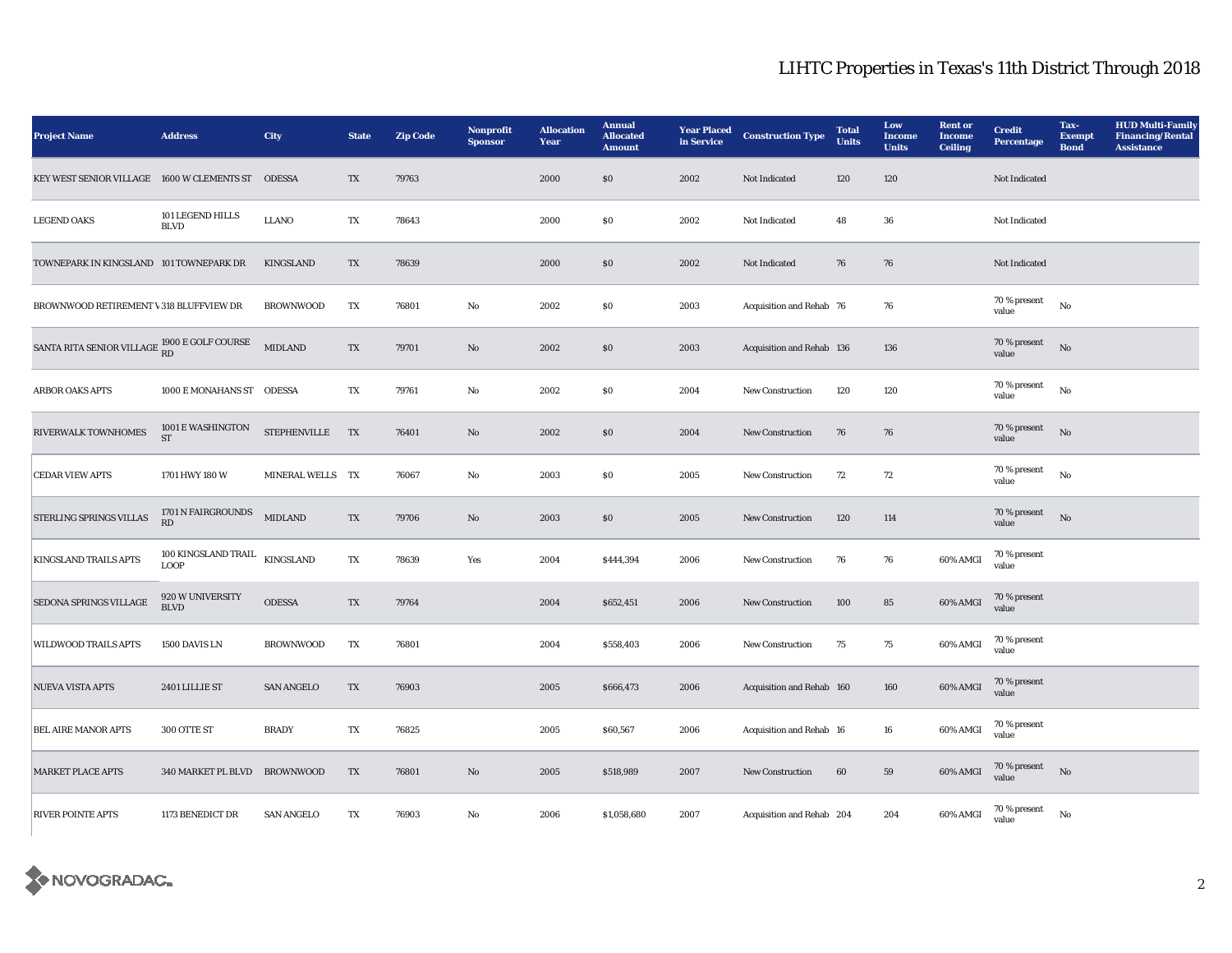| <b>Project Name</b>                                        | <b>Address</b>                               | City                | <b>State</b>           | <b>Zip Code</b> | Nonprofit<br><b>Sponsor</b> | <b>Allocation</b><br>Year | <b>Annual</b><br><b>Allocated</b><br><b>Amount</b> | <b>Year Placed</b><br>in Service | <b>Construction Type</b>  | <b>Total</b><br><b>Units</b> | Low<br><b>Income</b><br><b>Units</b> | <b>Rent</b> or<br><b>Income</b><br><b>Ceiling</b> | <b>Credit</b><br><b>Percentage</b> | Tax-<br><b>Exempt</b><br><b>Bond</b> | <b>HUD Multi-Family</b><br><b>Financing/Rental</b><br><b>Assistance</b> |
|------------------------------------------------------------|----------------------------------------------|---------------------|------------------------|-----------------|-----------------------------|---------------------------|----------------------------------------------------|----------------------------------|---------------------------|------------------------------|--------------------------------------|---------------------------------------------------|------------------------------------|--------------------------------------|-------------------------------------------------------------------------|
| KEY WEST SENIOR VILLAGE 1600 W CLEMENTS ST                 |                                              | <b>ODESSA</b>       | $\mathbf{T}\mathbf{X}$ | 79763           |                             | 2000                      | S <sub>0</sub>                                     | 2002                             | Not Indicated             | 120                          | 120                                  |                                                   | Not Indicated                      |                                      |                                                                         |
| <b>LEGEND OAKS</b>                                         | 101 LEGEND HILLS<br><b>BLVD</b>              | <b>LLANO</b>        | TX                     | 78643           |                             | 2000                      | \$0                                                | 2002                             | Not Indicated             | 48                           | 36                                   |                                                   | Not Indicated                      |                                      |                                                                         |
| TOWNEPARK IN KINGSLAND 101 TOWNEPARK DR                    |                                              | <b>KINGSLAND</b>    | $\mathbf{T}\mathbf{X}$ | 78639           |                             | 2000                      | <b>SO</b>                                          | 2002                             | Not Indicated             | 76                           | 76                                   |                                                   | Not Indicated                      |                                      |                                                                         |
| BROWNWOOD RETIREMENT \ 318 BLUFFVIEW DR                    |                                              | <b>BROWNWOOD</b>    | TX                     | 76801           | $\mathbf{No}$               | 2002                      | $\$0$                                              | 2003                             | Acquisition and Rehab 76  |                              | 76                                   |                                                   | $70$ % present<br>value            | No                                   |                                                                         |
| SANTA RITA SENIOR VILLAGE $^{1900\, \rm E}$ GOLF COURSE RD |                                              | <b>MIDLAND</b>      | TX                     | 79701           | No                          | 2002                      | <b>SO</b>                                          | 2003                             | Acquisition and Rehab 136 |                              | 136                                  |                                                   | 70 % present<br>value              | No                                   |                                                                         |
| <b>ARBOR OAKS APTS</b>                                     | 1000 E MONAHANS ST ODESSA                    |                     | TX                     | 79761           | $\mathbf{No}$               | 2002                      | S <sub>0</sub>                                     | 2004                             | New Construction          | 120                          | 120                                  |                                                   | 70 % present<br>value              | No                                   |                                                                         |
| RIVERWALK TOWNHOMES                                        | 1001 E WASHINGTON<br>ST                      | <b>STEPHENVILLE</b> | <b>TX</b>              | 76401           | $\mathbf{N}\mathbf{o}$      | 2002                      | \$0                                                | 2004                             | New Construction          | 76                           | 76                                   |                                                   | 70 % present<br>value              | No                                   |                                                                         |
| <b>CEDAR VIEW APTS</b>                                     | 1701 HWY 180 W                               | MINERAL WELLS TX    |                        | 76067           | $\mathbf{No}$               | 2003                      | \$0                                                | 2005                             | New Construction          | 72                           | 72                                   |                                                   | 70 % present<br>value              | No                                   |                                                                         |
| <b>STERLING SPRINGS VILLAS</b>                             | 1701 N FAIRGROUNDS<br>RD                     | <b>MIDLAND</b>      | TX                     | 79706           | $\mathbf{No}$               | 2003                      | $\$0$                                              | 2005                             | New Construction          | 120                          | 114                                  |                                                   | 70 % present<br>value              | No                                   |                                                                         |
| KINGSLAND TRAILS APTS                                      | 100 KINGSLAND TRAIL KINGSLAND<br><b>LOOP</b> |                     | TX                     | 78639           | Yes                         | 2004                      | \$444,394                                          | 2006                             | New Construction          | 76                           | 76                                   | 60% AMGI                                          | 70 % present<br>value              |                                      |                                                                         |
| SEDONA SPRINGS VILLAGE                                     | 920 W UNIVERSITY<br><b>BLVD</b>              | <b>ODESSA</b>       | TX                     | 79764           |                             | 2004                      | \$652,451                                          | 2006                             | <b>New Construction</b>   | 100                          | 85                                   | 60% AMGI                                          | 70 % present<br>value              |                                      |                                                                         |
| <b>WILDWOOD TRAILS APTS</b>                                | 1500 DAVIS LN                                | <b>BROWNWOOD</b>    | TX                     | 76801           |                             | 2004                      | \$558,403                                          | 2006                             | New Construction          | 75                           | 75                                   | 60% AMGI                                          | 70 % present<br>value              |                                      |                                                                         |
| <b>NUEVA VISTA APTS</b>                                    | 2401 LILLIE ST                               | <b>SAN ANGELO</b>   | TX                     | 76903           |                             | 2005                      | \$666,473                                          | 2006                             | Acquisition and Rehab 160 |                              | 160                                  | 60% AMGI                                          | 70 % present<br>value              |                                      |                                                                         |
| <b>BEL AIRE MANOR APTS</b>                                 | 300 OTTE ST                                  | <b>BRADY</b>        | TX                     | 76825           |                             | 2005                      | \$60,567                                           | 2006                             | Acquisition and Rehab 16  |                              | ${\bf 16}$                           | 60% AMGI                                          | 70 % present<br>value              |                                      |                                                                         |
| <b>MARKET PLACE APTS</b>                                   | 340 MARKET PL BLVD                           | <b>BROWNWOOD</b>    | $\mathbf{T}\mathbf{X}$ | 76801           | $\mathbf{No}$               | 2005                      | \$518,989                                          | 2007                             | New Construction          | 60                           | 59                                   | 60% AMGI                                          | 70 % present<br>value              | No                                   |                                                                         |
| <b>RIVER POINTE APTS</b>                                   | 1173 BENEDICT DR                             | <b>SAN ANGELO</b>   | TX                     | 76903           | No                          | 2006                      | \$1,058,680                                        | 2007                             | Acquisition and Rehab 204 |                              | 204                                  | 60% AMGI                                          | 70 % present<br>value              | No                                   |                                                                         |

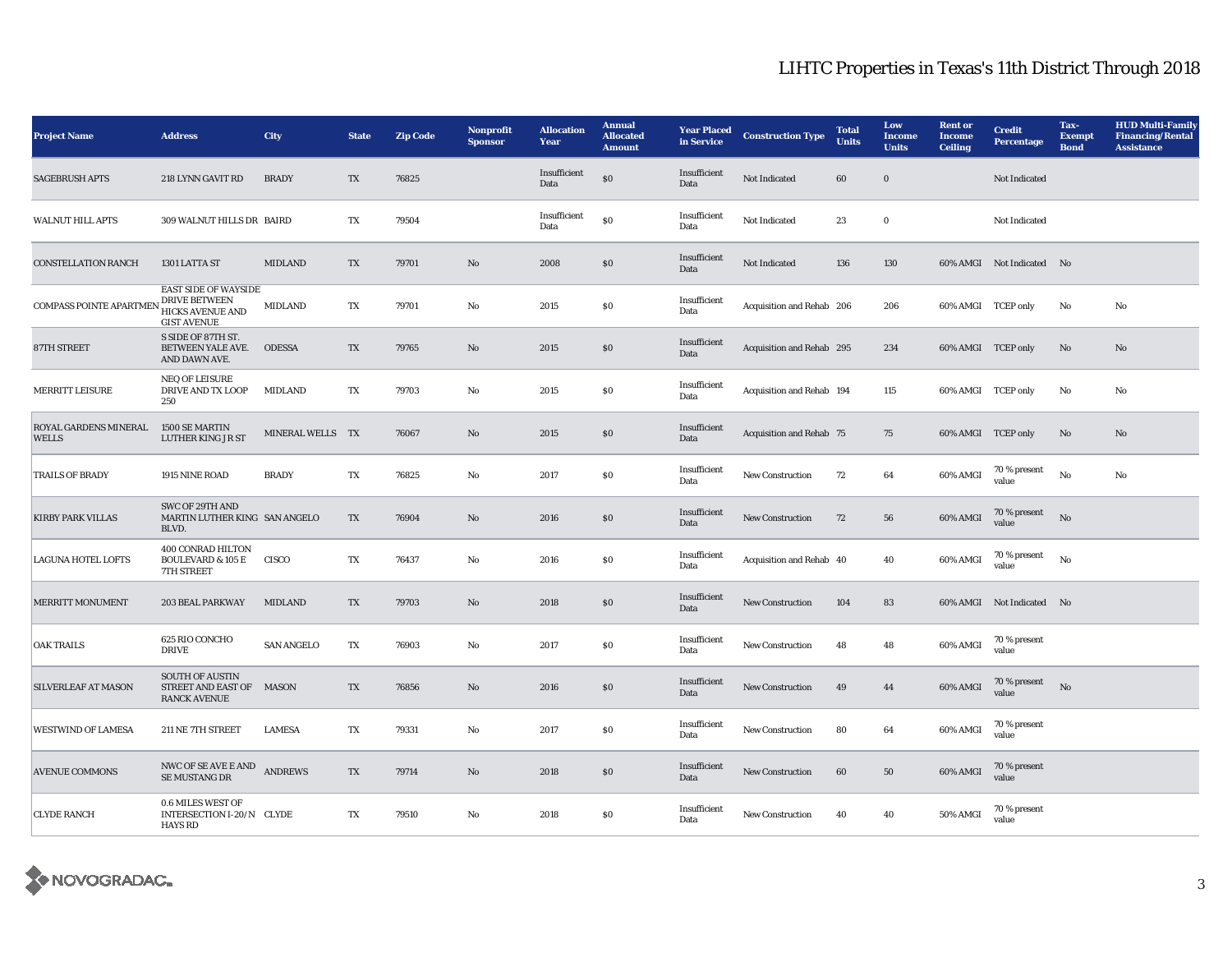| <b>Project Name</b>                   | <b>Address</b>                                                                                       | City              | <b>State</b> | <b>Zip Code</b> | Nonprofit<br><b>Sponsor</b> | <b>Allocation</b><br>Year | <b>Annual</b><br><b>Allocated</b><br><b>Amount</b> | <b>Year Placed</b><br>in Service | <b>Construction Type</b>  | <b>Total</b><br><b>Units</b> | Low<br><b>Income</b><br><b>Units</b> | <b>Rent or</b><br><b>Income</b><br><b>Ceiling</b> | <b>Credit</b><br><b>Percentage</b> | Tax-<br><b>Exempt</b><br><b>Bond</b> | <b>HUD Multi-Family</b><br><b>Financing/Rental</b><br><b>Assistance</b> |
|---------------------------------------|------------------------------------------------------------------------------------------------------|-------------------|--------------|-----------------|-----------------------------|---------------------------|----------------------------------------------------|----------------------------------|---------------------------|------------------------------|--------------------------------------|---------------------------------------------------|------------------------------------|--------------------------------------|-------------------------------------------------------------------------|
| <b>SAGEBRUSH APTS</b>                 | 218 LYNN GAVIT RD                                                                                    | <b>BRADY</b>      | TX           | 76825           |                             | Insufficient<br>Data      | ${\bf S0}$                                         | Insufficient<br>Data             | <b>Not Indicated</b>      | 60                           | $\mathbf{0}$                         |                                                   | Not Indicated                      |                                      |                                                                         |
| <b>WALNUT HILL APTS</b>               | 309 WALNUT HILLS DR BAIRD                                                                            |                   | TX           | 79504           |                             | Insufficient<br>Data      | ${\bf S0}$                                         | Insufficient<br>Data             | Not Indicated             | 23                           | $\bf{0}$                             |                                                   | Not Indicated                      |                                      |                                                                         |
| <b>CONSTELLATION RANCH</b>            | 1301 LATTA ST                                                                                        | <b>MIDLAND</b>    | TX           | 79701           | No                          | 2008                      | $\$0$                                              | Insufficient<br>Data             | <b>Not Indicated</b>      | 136                          | 130                                  |                                                   | 60% AMGI Not Indicated No          |                                      |                                                                         |
| <b>COMPASS POINTE APARTMEN</b>        | <b>EAST SIDE OF WAYSIDE</b><br><b>DRIVE BETWEEN</b><br><b>HICKS AVENUE AND</b><br><b>GIST AVENUE</b> | <b>MIDLAND</b>    | TX           | 79701           | $\rm No$                    | 2015                      | $\$0$                                              | Insufficient<br>Data             | Acquisition and Rehab 206 |                              | 206                                  | 60% AMGI TCEP only                                |                                    | No                                   | No                                                                      |
| 87TH STREET                           | S SIDE OF 87TH ST.<br>BETWEEN YALE AVE.<br>AND DAWN AVE.                                             | <b>ODESSA</b>     | TX           | 79765           | $\mathbf{No}$               | 2015                      | $\$0$                                              | Insufficient<br>Data             | Acquisition and Rehab 295 |                              | 234                                  | 60% AMGI TCEP only                                |                                    | No                                   | No                                                                      |
| MERRITT LEISURE                       | <b>NEQ OF LEISURE</b><br>DRIVE AND TX LOOP<br>250                                                    | <b>MIDLAND</b>    | TX           | 79703           | No                          | 2015                      | \$0\$                                              | Insufficient<br>Data             | Acquisition and Rehab 194 |                              | 115                                  | 60% AMGI TCEP only                                |                                    | No                                   | No                                                                      |
| ROYAL GARDENS MINERAL<br><b>WELLS</b> | <b>1500 SE MARTIN</b><br><b>LUTHER KING JR ST</b>                                                    | MINERAL WELLS TX  |              | 76067           | No                          | 2015                      | \$0\$                                              | Insufficient<br>Data             | Acquisition and Rehab 75  |                              | 75                                   | 60% AMGI TCEP only                                |                                    | No                                   | No                                                                      |
| <b>TRAILS OF BRADY</b>                | 1915 NINE ROAD                                                                                       | <b>BRADY</b>      | TX           | 76825           | $\mathbf{N}\mathbf{o}$      | 2017                      | \$0                                                | Insufficient<br>Data             | New Construction          | 72                           | 64                                   | 60% AMGI                                          | 70 % present<br>value              | No                                   | No                                                                      |
| <b>KIRBY PARK VILLAS</b>              | SWC OF 29TH AND<br>MARTIN LUTHER KING SAN ANGELO<br>BLVD.                                            |                   | TX           | 76904           | No                          | 2016                      | S <sub>0</sub>                                     | Insufficient<br>Data             | <b>New Construction</b>   | 72                           | 56                                   | 60% AMGI                                          | 70 % present<br>value              | No                                   |                                                                         |
| LAGUNA HOTEL LOFTS                    | 400 CONRAD HILTON<br><b>BOULEVARD &amp; 105 E</b><br><b>7TH STREET</b>                               | CISCO             | TX           | 76437           | No                          | 2016                      | $\$0$                                              | Insufficient<br>Data             | Acquisition and Rehab 40  |                              | 40                                   | 60% AMGI                                          | $70$ % present<br>value            | No                                   |                                                                         |
| <b>MERRITT MONUMENT</b>               | 203 BEAL PARKWAY                                                                                     | <b>MIDLAND</b>    | TX           | 79703           | $\rm No$                    | 2018                      | $\$0$                                              | Insufficient<br>Data             | <b>New Construction</b>   | 104                          | 83                                   |                                                   | 60% AMGI Not Indicated No          |                                      |                                                                         |
| <b>OAK TRAILS</b>                     | 625 RIO CONCHO<br><b>DRIVE</b>                                                                       | <b>SAN ANGELO</b> | TX           | 76903           | No                          | 2017                      | \$0                                                | Insufficient<br>Data             | <b>New Construction</b>   | 48                           | 48                                   | 60% AMGI                                          | 70 % present<br>value              |                                      |                                                                         |
| SILVERLEAF AT MASON                   | <b>SOUTH OF AUSTIN</b><br>STREET AND EAST OF MASON<br><b>RANCK AVENUE</b>                            |                   | TX           | 76856           | $\mathbf{No}$               | 2016                      | $\$0$                                              | Insufficient<br>Data             | New Construction          | 49                           | 44                                   | 60% AMGI                                          | 70 % present<br>value              | No                                   |                                                                         |
| <b>WESTWIND OF LAMESA</b>             | 211 NE 7TH STREET                                                                                    | <b>LAMESA</b>     | TX           | 79331           | $\rm No$                    | 2017                      | \$0\$                                              | Insufficient<br>Data             | New Construction          | 80                           | 64                                   | 60% AMGI                                          | 70 % present<br>value              |                                      |                                                                         |
| <b>AVENUE COMMONS</b>                 | NWC OF SE AVE E AND<br>SE MUSTANG DR                                                                 | <b>ANDREWS</b>    | TX           | 79714           | No                          | 2018                      | $\$0$                                              | Insufficient<br>Data             | <b>New Construction</b>   | 60                           | 50                                   | 60% AMGI                                          | 70 % present<br>value              |                                      |                                                                         |
| <b>CLYDE RANCH</b>                    | 0.6 MILES WEST OF<br>INTERSECTION I-20/N CLYDE<br><b>HAYS RD</b>                                     |                   | TX           | 79510           | No                          | 2018                      | $\$0$                                              | Insufficient<br>Data             | <b>New Construction</b>   | 40                           | 40                                   | 50% AMGI                                          | 70 % present<br>value              |                                      |                                                                         |

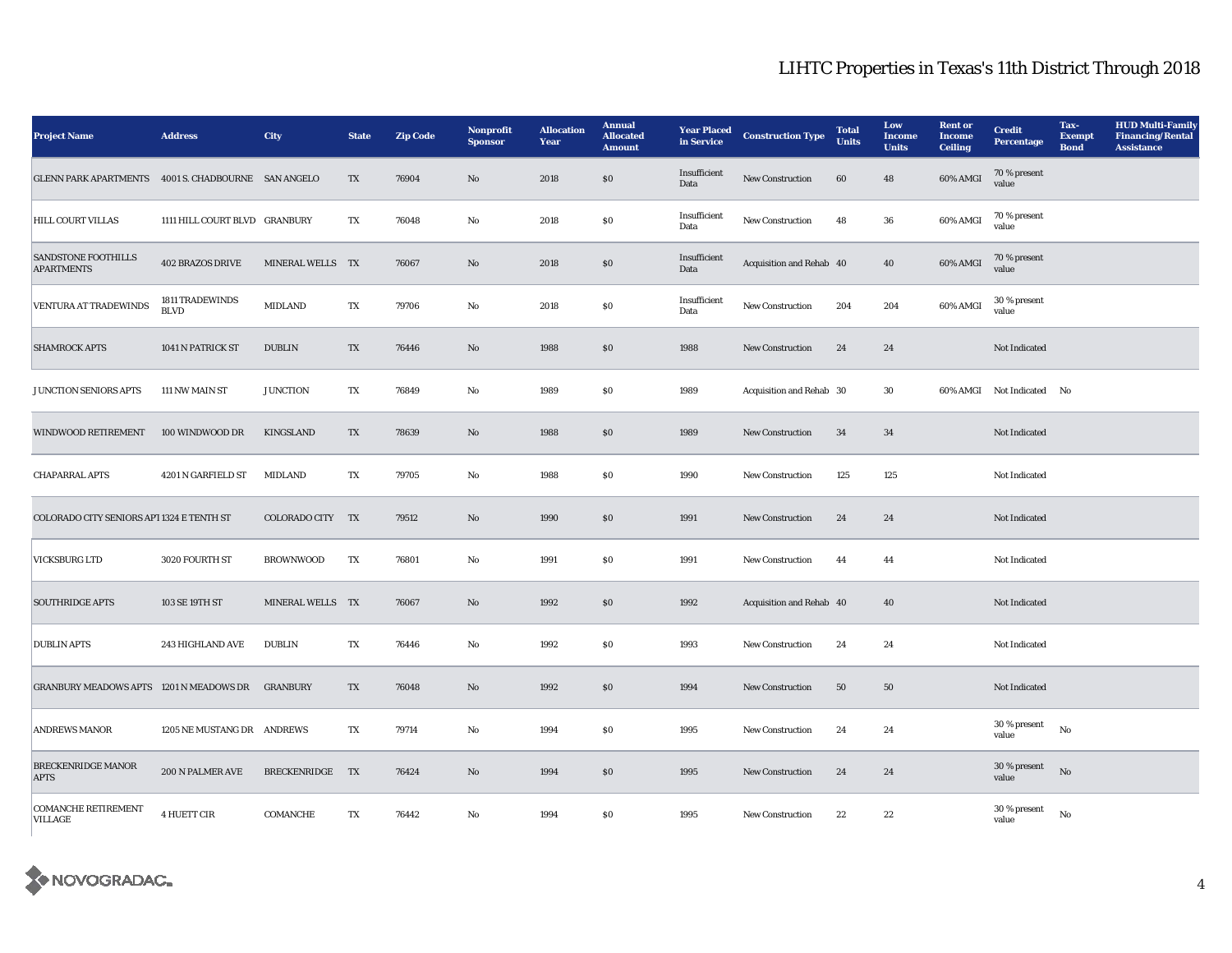| <b>Project Name</b>                                 | <b>Address</b>                 | <b>City</b>      | <b>State</b> | <b>Zip Code</b> | Nonprofit<br><b>Sponsor</b> | <b>Allocation</b><br>Year | <b>Annual</b><br><b>Allocated</b><br><b>Amount</b> | <b>Year Placed</b><br>in Service | <b>Construction Type</b> | <b>Total</b><br><b>Units</b> | Low<br><b>Income</b><br><b>Units</b> | <b>Rent or</b><br><b>Income</b><br><b>Ceiling</b> | <b>Credit</b><br><b>Percentage</b> | Tax-<br><b>Exempt</b><br><b>Bond</b> | <b>HUD Multi-Family</b><br><b>Financing/Rental</b><br><b>Assistance</b> |
|-----------------------------------------------------|--------------------------------|------------------|--------------|-----------------|-----------------------------|---------------------------|----------------------------------------------------|----------------------------------|--------------------------|------------------------------|--------------------------------------|---------------------------------------------------|------------------------------------|--------------------------------------|-------------------------------------------------------------------------|
| GLENN PARK APARTMENTS 4001 S. CHADBOURNE SAN ANGELO |                                |                  | TX           | 76904           | $\rm\thinspace No$          | 2018                      | $\$0$                                              | Insufficient<br>Data             | New Construction         | 60                           | 48                                   | 60% AMGI                                          | 70 % present<br>value              |                                      |                                                                         |
| <b>HILL COURT VILLAS</b>                            | 1111 HILL COURT BLVD GRANBURY  |                  | TX           | 76048           | $\mathbf{No}$               | 2018                      | \$0                                                | Insufficient<br>Data             | New Construction         | 48                           | 36                                   | 60% AMGI                                          | 70 % present<br>value              |                                      |                                                                         |
| SANDSTONE FOOTHILLS<br><b>APARTMENTS</b>            | <b>402 BRAZOS DRIVE</b>        | MINERAL WELLS TX |              | 76067           | $\rm\thinspace No$          | 2018                      | ${\bf S0}$                                         | Insufficient<br>Data             | Acquisition and Rehab 40 |                              | 40                                   | 60% AMGI                                          | 70 % present<br>value              |                                      |                                                                         |
| VENTURA AT TRADEWINDS                               | 1811 TRADEWINDS<br><b>BLVD</b> | <b>MIDLAND</b>   | TX           | 79706           | $\mathbf{No}$               | 2018                      | S <sub>0</sub>                                     | Insufficient<br>Data             | New Construction         | 204                          | 204                                  | 60% AMGI                                          | 30 % present<br>value              |                                      |                                                                         |
| <b>SHAMROCK APTS</b>                                | 1041 N PATRICK ST              | <b>DUBLIN</b>    | TX           | 76446           | No                          | 1988                      | \$0                                                | 1988                             | <b>New Construction</b>  | 24                           | 24                                   |                                                   | Not Indicated                      |                                      |                                                                         |
| JUNCTION SENIORS APTS                               | 111 NW MAIN ST                 | <b>JUNCTION</b>  | TX           | 76849           | $\mathbf {No}$              | 1989                      | $\bf{S0}$                                          | 1989                             | Acquisition and Rehab 30 |                              | 30                                   |                                                   | 60% AMGI Not Indicated No          |                                      |                                                                         |
| <b>WINDWOOD RETIREMENT</b>                          | 100 WINDWOOD DR                | <b>KINGSLAND</b> | TX           | 78639           | No                          | 1988                      | S <sub>0</sub>                                     | 1989                             | <b>New Construction</b>  | 34                           | 34                                   |                                                   | Not Indicated                      |                                      |                                                                         |
| <b>CHAPARRAL APTS</b>                               | 4201 N GARFIELD ST             | <b>MIDLAND</b>   | TX           | 79705           | $\mathbf {No}$              | 1988                      | \$0                                                | 1990                             | New Construction         | 125                          | 125                                  |                                                   | Not Indicated                      |                                      |                                                                         |
| COLORADO CITY SENIORS API 1324 E TENTH ST           |                                | COLORADO CITY TX |              | 79512           | $\rm\thinspace No$          | 1990                      | $\$0$                                              | 1991                             | New Construction         | 24                           | 24                                   |                                                   | Not Indicated                      |                                      |                                                                         |
| <b>VICKSBURG LTD</b>                                | 3020 FOURTH ST                 | <b>BROWNWOOD</b> | TX           | 76801           | $\mathbf{No}$               | 1991                      | \$0                                                | 1991                             | New Construction         | 44                           | 44                                   |                                                   | Not Indicated                      |                                      |                                                                         |
| <b>SOUTHRIDGE APTS</b>                              | 103 SE 19TH ST                 | MINERAL WELLS TX |              | 76067           | $\mathbf{N}\mathbf{o}$      | 1992                      | $\$0$                                              | 1992                             | Acquisition and Rehab 40 |                              | 40                                   |                                                   | Not Indicated                      |                                      |                                                                         |
| <b>DUBLIN APTS</b>                                  | 243 HIGHLAND AVE               | <b>DUBLIN</b>    | TX           | 76446           | No                          | 1992                      | S <sub>0</sub>                                     | 1993                             | <b>New Construction</b>  | 24                           | 24                                   |                                                   | Not Indicated                      |                                      |                                                                         |
| GRANBURY MEADOWS APTS 1201 N MEADOWS DR GRANBURY    |                                |                  | TX           | 76048           | $\rm\thinspace No$          | 1992                      | $\pmb{\mathsf{S}}\pmb{\mathsf{O}}$                 | 1994                             | New Construction         | 50                           | 50                                   |                                                   | Not Indicated                      |                                      |                                                                         |
| <b>ANDREWS MANOR</b>                                | 1205 NE MUSTANG DR ANDREWS     |                  | TX           | 79714           | No                          | 1994                      | SO.                                                | 1995                             | <b>New Construction</b>  | 24                           | 24                                   |                                                   | 30 % present<br>value              | $\mathbf{N}\mathbf{o}$               |                                                                         |
| <b>BRECKENRIDGE MANOR</b><br><b>APTS</b>            | 200 N PALMER AVE               | BRECKENRIDGE TX  |              | 76424           | No                          | 1994                      | \$0                                                | 1995                             | <b>New Construction</b>  | 24                           | 24                                   |                                                   | 30 % present<br>value              | No                                   |                                                                         |
| <b>COMANCHE RETIREMENT</b><br><b>VILLAGE</b>        | 4 HUETT CIR                    | COMANCHE         | TX           | 76442           | $\mathbf{No}$               | 1994                      | $\$0$                                              | 1995                             | New Construction         | 22                           | 22                                   |                                                   | 30 % present<br>value              | No                                   |                                                                         |